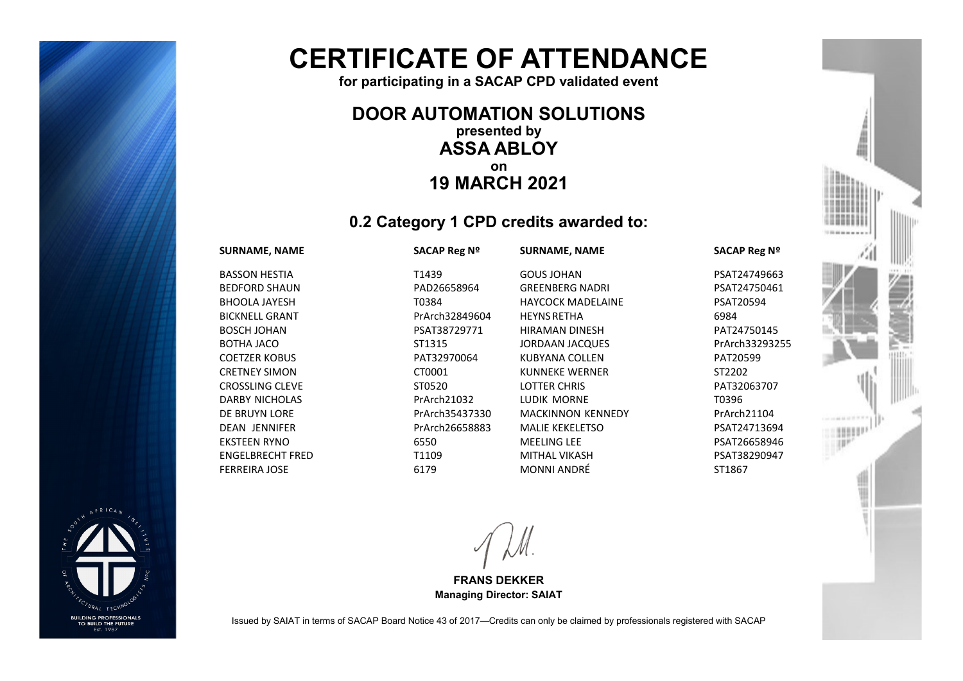

# **CERTIFICATE OF ATTENDANCE**

**for participating in a SACAP CPD validated event**

### **DOOR AUTOMATION SOLUTIONS presented by ASSA ABLOY on 19 MARCH 2021**

## **0.2 Category 1 CPD credits awarded to:**

#### **SURNAME, NAME SACAP Reg Nº**

BASSON HESTIA T1439 BEDFORD SHAUN PAD26658964 BHOOLA JAYESH T0384 BICKNELL GRANT PrArch32849604 BOSCH JOHAN PSAT38729771 BOTHA JACO ST1315 COETZER KOBUS PAT32970064 CRETNEY SIMON CT0001 CROSSLING CLEVE STOS 20 DARBY NICHOLAS PrArch21032 DE BRUYN LORE PrArch35437330 DEAN JENNIFER PrArch26658883 EKSTEEN RYNO 6550 ENGELBRECHT FRED T1109 FERREIRA JOSE 6179

GOUS JOHAN PSAT24749663 GREENBERG NADRI PSAT24750461 HAYCOCK MADELAINE PSAT20594 HEYNSRETHA 6984 HIRAMAN DINESH PAT24750145 JORDAAN JACQUES PrArch33293255 KUBYANA COLLEN PAT20599 KUNNEKE WERNER ST2202 LOTTER CHRIS PAT32063707 LUDIK MORNE T0396 MACKINNON KENNEDY PrArch21104 MALIE KEKELETSO PSAT24713694 MEELING LEE PSAT26658946 MITHAL VIKASH PSAT38290947 MONNI ANDRÉ ST1867

#### **SURNAME, NAME SACAP Reg Nº**



Issued by SAIAT in terms of SACAP Board Notice 43 of 2017—Credits can only be claimed by professionals registered with SACAP

**FRANS DEKKER Managing Director: SAIAT**